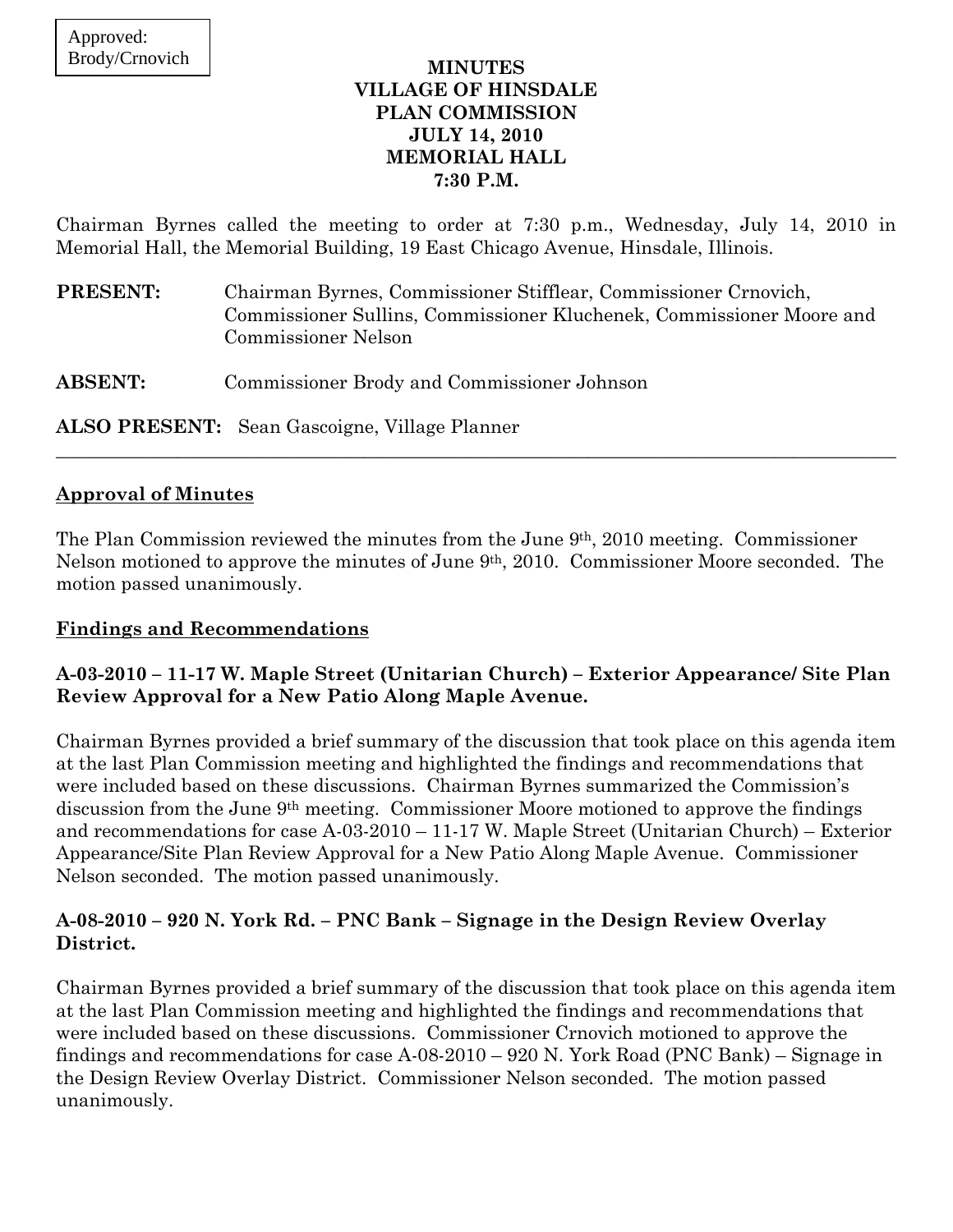#### **MINUTES VILLAGE OF HINSDALE PLAN COMMISSION JULY 14, 2010 MEMORIAL HALL 7:30 P.M.**

Chairman Byrnes called the meeting to order at 7:30 p.m., Wednesday, July 14, 2010 in Memorial Hall, the Memorial Building, 19 East Chicago Avenue, Hinsdale, Illinois.

| <b>PRESENT:</b> | Chairman Byrnes, Commissioner Stifflear, Commissioner Crnovich,<br>Commissioner Sullins, Commissioner Kluchenek, Commissioner Moore and<br><b>Commissioner Nelson</b> |
|-----------------|-----------------------------------------------------------------------------------------------------------------------------------------------------------------------|
| <b>ABSENT:</b>  | Commissioner Brody and Commissioner Johnson                                                                                                                           |

**ALSO PRESENT:** Sean Gascoigne, Village Planner

#### **Approval of Minutes**

The Plan Commission reviewed the minutes from the June 9th, 2010 meeting. Commissioner Nelson motioned to approve the minutes of June 9th, 2010. Commissioner Moore seconded. The motion passed unanimously.

 $\_$  , and the set of the set of the set of the set of the set of the set of the set of the set of the set of the set of the set of the set of the set of the set of the set of the set of the set of the set of the set of th

#### **Findings and Recommendations**

## **A-03-2010 – 11-17 W. Maple Street (Unitarian Church) – Exterior Appearance/ Site Plan Review Approval for a New Patio Along Maple Avenue.**

Chairman Byrnes provided a brief summary of the discussion that took place on this agenda item at the last Plan Commission meeting and highlighted the findings and recommendations that were included based on these discussions. Chairman Byrnes summarized the Commission's discussion from the June 9th meeting. Commissioner Moore motioned to approve the findings and recommendations for case A-03-2010 – 11-17 W. Maple Street (Unitarian Church) – Exterior Appearance/Site Plan Review Approval for a New Patio Along Maple Avenue. Commissioner Nelson seconded. The motion passed unanimously.

## **A-08-2010 – 920 N. York Rd. – PNC Bank – Signage in the Design Review Overlay District.**

Chairman Byrnes provided a brief summary of the discussion that took place on this agenda item at the last Plan Commission meeting and highlighted the findings and recommendations that were included based on these discussions. Commissioner Crnovich motioned to approve the findings and recommendations for case A-08-2010 – 920 N. York Road (PNC Bank) – Signage in the Design Review Overlay District. Commissioner Nelson seconded. The motion passed unanimously.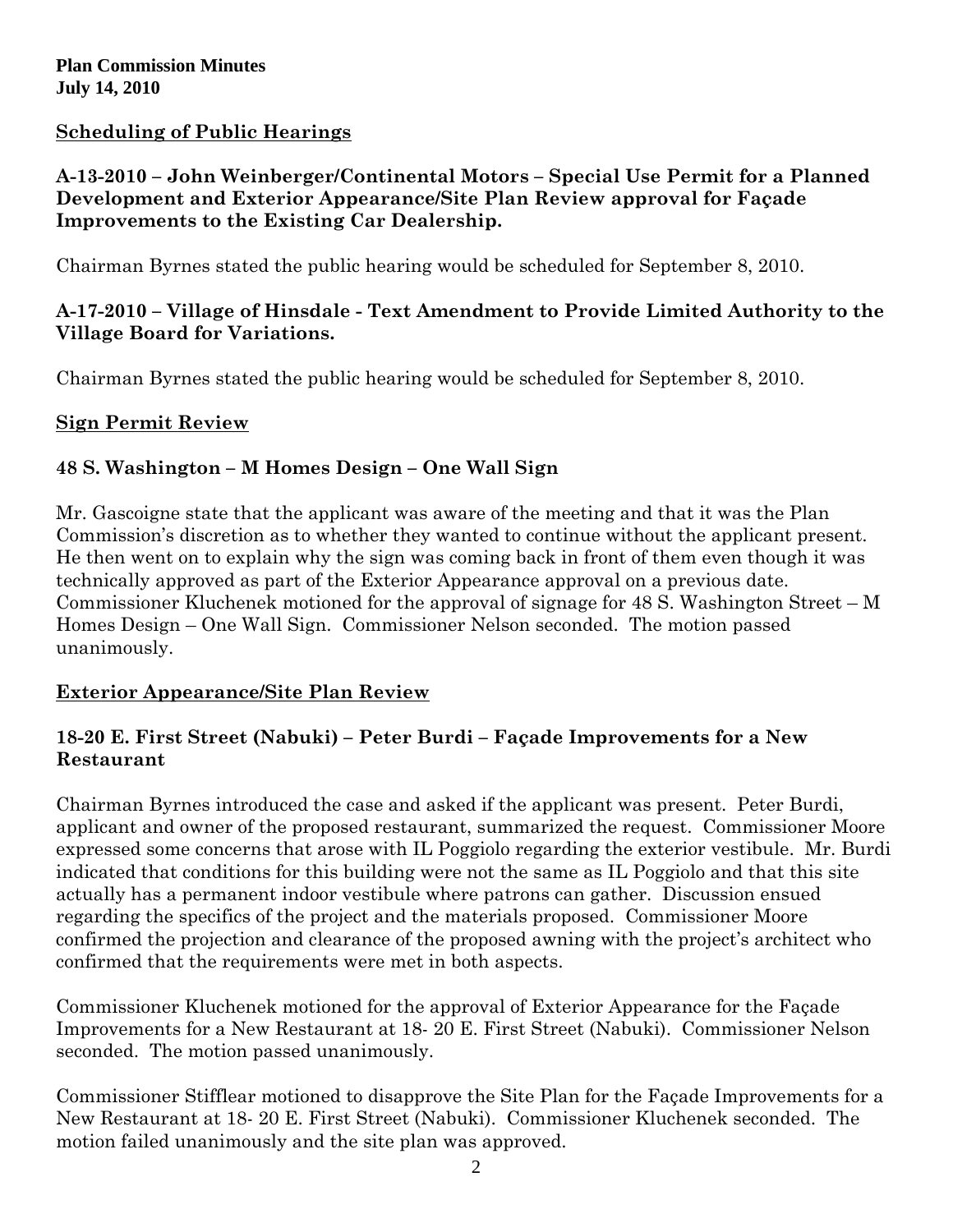## **Scheduling of Public Hearings**

## **A-13-2010 – John Weinberger/Continental Motors – Special Use Permit for a Planned Development and Exterior Appearance/Site Plan Review approval for Façade Improvements to the Existing Car Dealership.**

Chairman Byrnes stated the public hearing would be scheduled for September 8, 2010.

## **A-17-2010 – Village of Hinsdale - Text Amendment to Provide Limited Authority to the Village Board for Variations.**

Chairman Byrnes stated the public hearing would be scheduled for September 8, 2010.

# **Sign Permit Review**

# **48 S. Washington – M Homes Design – One Wall Sign**

Mr. Gascoigne state that the applicant was aware of the meeting and that it was the Plan Commission's discretion as to whether they wanted to continue without the applicant present. He then went on to explain why the sign was coming back in front of them even though it was technically approved as part of the Exterior Appearance approval on a previous date. Commissioner Kluchenek motioned for the approval of signage for 48 S. Washington Street – M Homes Design – One Wall Sign. Commissioner Nelson seconded. The motion passed unanimously.

# **Exterior Appearance/Site Plan Review**

# **18-20 E. First Street (Nabuki) – Peter Burdi – Façade Improvements for a New Restaurant**

Chairman Byrnes introduced the case and asked if the applicant was present. Peter Burdi, applicant and owner of the proposed restaurant, summarized the request. Commissioner Moore expressed some concerns that arose with IL Poggiolo regarding the exterior vestibule. Mr. Burdi indicated that conditions for this building were not the same as IL Poggiolo and that this site actually has a permanent indoor vestibule where patrons can gather. Discussion ensued regarding the specifics of the project and the materials proposed. Commissioner Moore confirmed the projection and clearance of the proposed awning with the project's architect who confirmed that the requirements were met in both aspects.

Commissioner Kluchenek motioned for the approval of Exterior Appearance for the Façade Improvements for a New Restaurant at 18- 20 E. First Street (Nabuki). Commissioner Nelson seconded. The motion passed unanimously.

Commissioner Stifflear motioned to disapprove the Site Plan for the Façade Improvements for a New Restaurant at 18- 20 E. First Street (Nabuki). Commissioner Kluchenek seconded. The motion failed unanimously and the site plan was approved.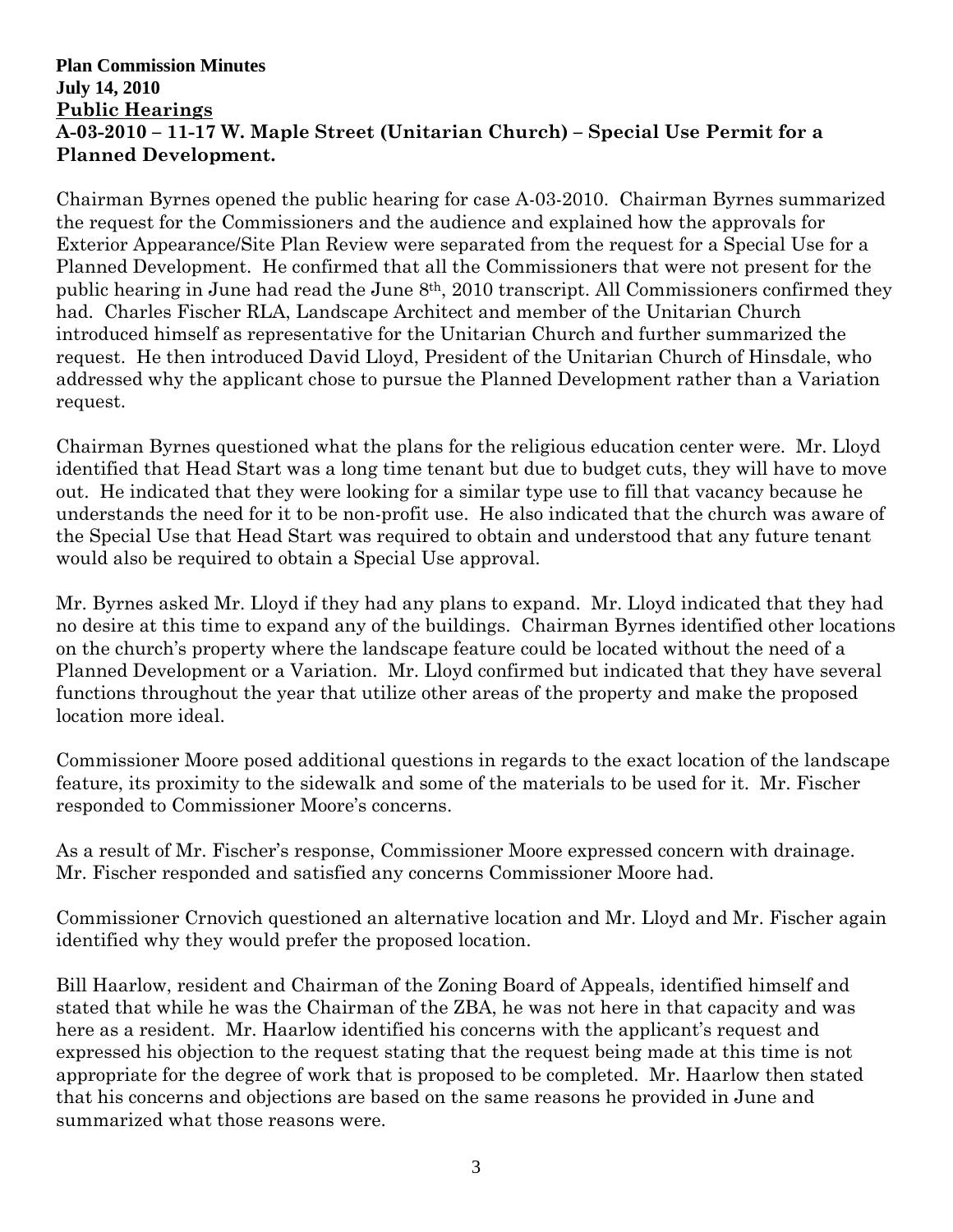#### **Plan Commission Minutes July 14, 2010 Public Hearings A-03-2010 – 11-17 W. Maple Street (Unitarian Church) – Special Use Permit for a Planned Development.**

Chairman Byrnes opened the public hearing for case A-03-2010. Chairman Byrnes summarized the request for the Commissioners and the audience and explained how the approvals for Exterior Appearance/Site Plan Review were separated from the request for a Special Use for a Planned Development. He confirmed that all the Commissioners that were not present for the public hearing in June had read the June 8th, 2010 transcript. All Commissioners confirmed they had. Charles Fischer RLA, Landscape Architect and member of the Unitarian Church introduced himself as representative for the Unitarian Church and further summarized the request. He then introduced David Lloyd, President of the Unitarian Church of Hinsdale, who addressed why the applicant chose to pursue the Planned Development rather than a Variation request.

Chairman Byrnes questioned what the plans for the religious education center were. Mr. Lloyd identified that Head Start was a long time tenant but due to budget cuts, they will have to move out. He indicated that they were looking for a similar type use to fill that vacancy because he understands the need for it to be non-profit use. He also indicated that the church was aware of the Special Use that Head Start was required to obtain and understood that any future tenant would also be required to obtain a Special Use approval.

Mr. Byrnes asked Mr. Lloyd if they had any plans to expand. Mr. Lloyd indicated that they had no desire at this time to expand any of the buildings. Chairman Byrnes identified other locations on the church's property where the landscape feature could be located without the need of a Planned Development or a Variation. Mr. Lloyd confirmed but indicated that they have several functions throughout the year that utilize other areas of the property and make the proposed location more ideal.

Commissioner Moore posed additional questions in regards to the exact location of the landscape feature, its proximity to the sidewalk and some of the materials to be used for it. Mr. Fischer responded to Commissioner Moore's concerns.

As a result of Mr. Fischer's response, Commissioner Moore expressed concern with drainage. Mr. Fischer responded and satisfied any concerns Commissioner Moore had.

Commissioner Crnovich questioned an alternative location and Mr. Lloyd and Mr. Fischer again identified why they would prefer the proposed location.

Bill Haarlow, resident and Chairman of the Zoning Board of Appeals, identified himself and stated that while he was the Chairman of the ZBA, he was not here in that capacity and was here as a resident. Mr. Haarlow identified his concerns with the applicant's request and expressed his objection to the request stating that the request being made at this time is not appropriate for the degree of work that is proposed to be completed. Mr. Haarlow then stated that his concerns and objections are based on the same reasons he provided in June and summarized what those reasons were.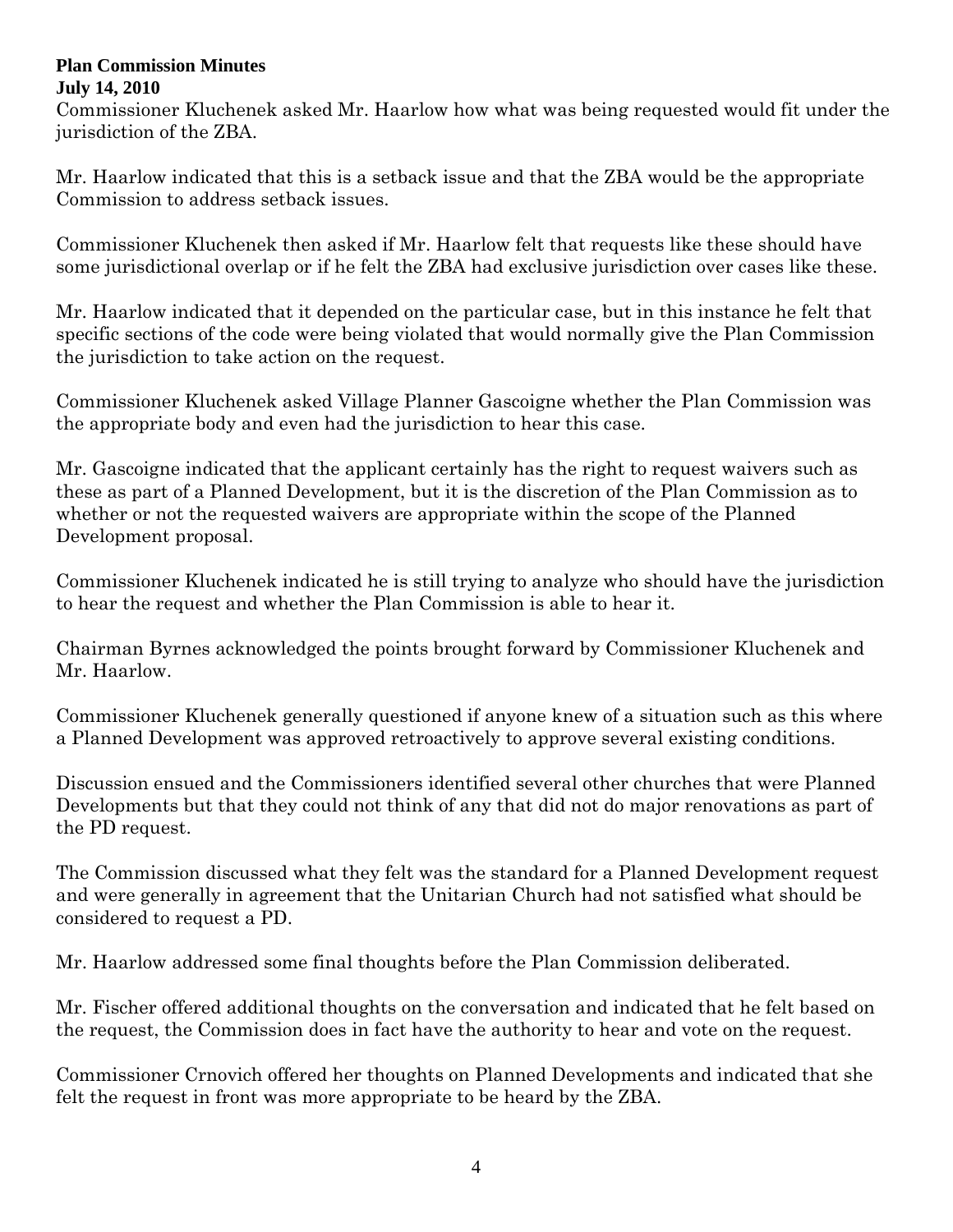#### **Plan Commission Minutes July 14, 2010**

Commissioner Kluchenek asked Mr. Haarlow how what was being requested would fit under the jurisdiction of the ZBA.

Mr. Haarlow indicated that this is a setback issue and that the ZBA would be the appropriate Commission to address setback issues.

Commissioner Kluchenek then asked if Mr. Haarlow felt that requests like these should have some jurisdictional overlap or if he felt the ZBA had exclusive jurisdiction over cases like these.

Mr. Haarlow indicated that it depended on the particular case, but in this instance he felt that specific sections of the code were being violated that would normally give the Plan Commission the jurisdiction to take action on the request.

Commissioner Kluchenek asked Village Planner Gascoigne whether the Plan Commission was the appropriate body and even had the jurisdiction to hear this case.

Mr. Gascoigne indicated that the applicant certainly has the right to request waivers such as these as part of a Planned Development, but it is the discretion of the Plan Commission as to whether or not the requested waivers are appropriate within the scope of the Planned Development proposal.

Commissioner Kluchenek indicated he is still trying to analyze who should have the jurisdiction to hear the request and whether the Plan Commission is able to hear it.

Chairman Byrnes acknowledged the points brought forward by Commissioner Kluchenek and Mr. Haarlow.

Commissioner Kluchenek generally questioned if anyone knew of a situation such as this where a Planned Development was approved retroactively to approve several existing conditions.

Discussion ensued and the Commissioners identified several other churches that were Planned Developments but that they could not think of any that did not do major renovations as part of the PD request.

The Commission discussed what they felt was the standard for a Planned Development request and were generally in agreement that the Unitarian Church had not satisfied what should be considered to request a PD.

Mr. Haarlow addressed some final thoughts before the Plan Commission deliberated.

Mr. Fischer offered additional thoughts on the conversation and indicated that he felt based on the request, the Commission does in fact have the authority to hear and vote on the request.

Commissioner Crnovich offered her thoughts on Planned Developments and indicated that she felt the request in front was more appropriate to be heard by the ZBA.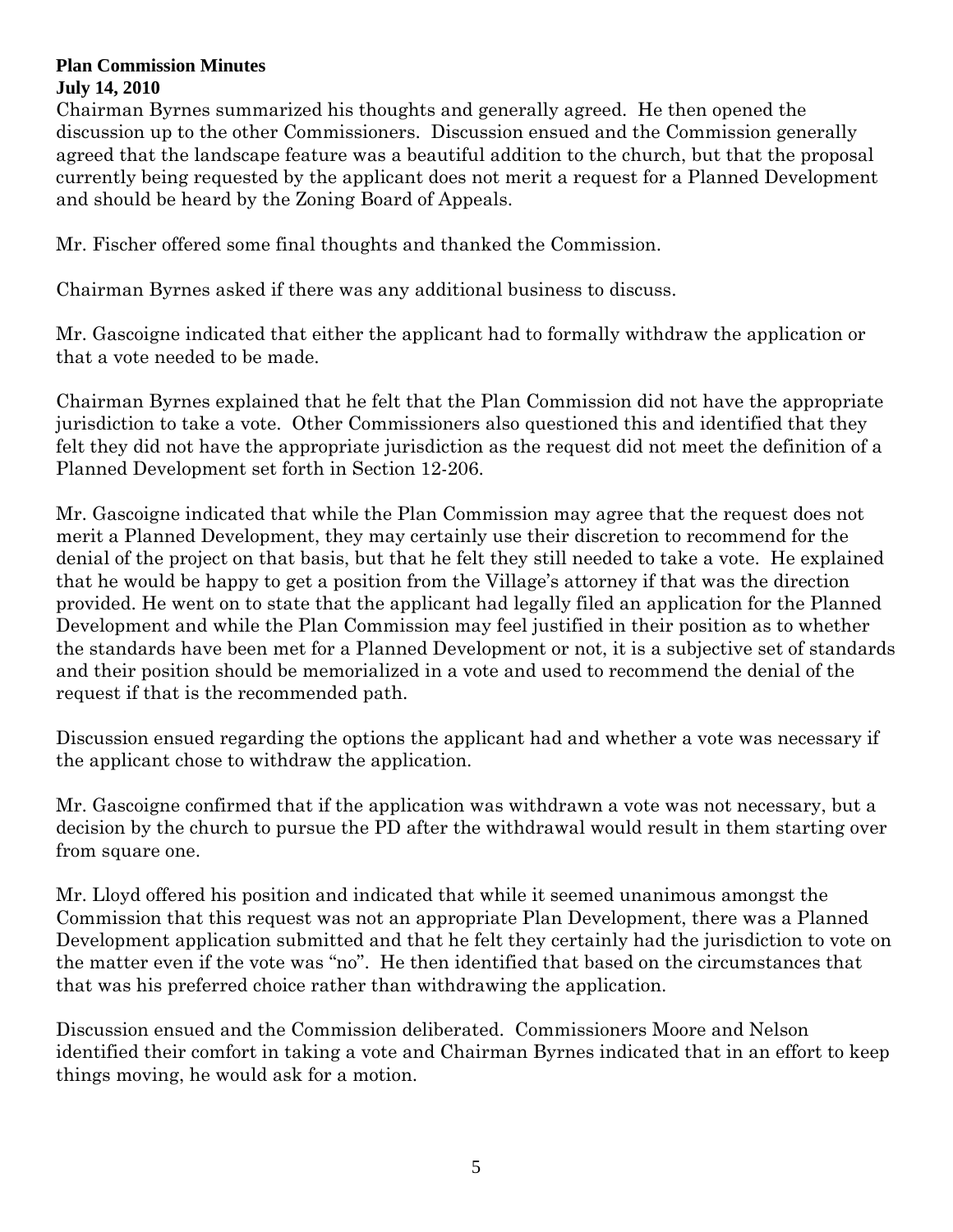#### **Plan Commission Minutes July 14, 2010**

Chairman Byrnes summarized his thoughts and generally agreed. He then opened the discussion up to the other Commissioners. Discussion ensued and the Commission generally agreed that the landscape feature was a beautiful addition to the church, but that the proposal currently being requested by the applicant does not merit a request for a Planned Development and should be heard by the Zoning Board of Appeals.

Mr. Fischer offered some final thoughts and thanked the Commission.

Chairman Byrnes asked if there was any additional business to discuss.

Mr. Gascoigne indicated that either the applicant had to formally withdraw the application or that a vote needed to be made.

Chairman Byrnes explained that he felt that the Plan Commission did not have the appropriate jurisdiction to take a vote. Other Commissioners also questioned this and identified that they felt they did not have the appropriate jurisdiction as the request did not meet the definition of a Planned Development set forth in Section 12-206.

Mr. Gascoigne indicated that while the Plan Commission may agree that the request does not merit a Planned Development, they may certainly use their discretion to recommend for the denial of the project on that basis, but that he felt they still needed to take a vote. He explained that he would be happy to get a position from the Village's attorney if that was the direction provided. He went on to state that the applicant had legally filed an application for the Planned Development and while the Plan Commission may feel justified in their position as to whether the standards have been met for a Planned Development or not, it is a subjective set of standards and their position should be memorialized in a vote and used to recommend the denial of the request if that is the recommended path.

Discussion ensued regarding the options the applicant had and whether a vote was necessary if the applicant chose to withdraw the application.

Mr. Gascoigne confirmed that if the application was withdrawn a vote was not necessary, but a decision by the church to pursue the PD after the withdrawal would result in them starting over from square one.

Mr. Lloyd offered his position and indicated that while it seemed unanimous amongst the Commission that this request was not an appropriate Plan Development, there was a Planned Development application submitted and that he felt they certainly had the jurisdiction to vote on the matter even if the vote was "no". He then identified that based on the circumstances that that was his preferred choice rather than withdrawing the application.

Discussion ensued and the Commission deliberated. Commissioners Moore and Nelson identified their comfort in taking a vote and Chairman Byrnes indicated that in an effort to keep things moving, he would ask for a motion.